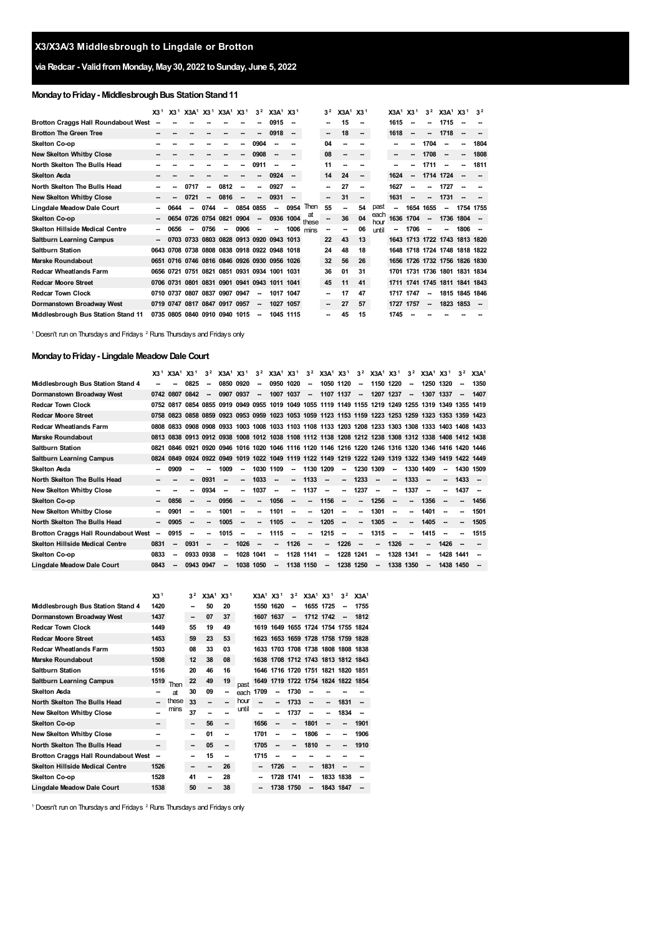# **via Redcar - ValidfromMonday, May30, 2022 toSunday, June 5, 2022**

# **Monday to Friday - Middlesbrough Bus Station Stand 11**

|                                            | X3 <sup>1</sup>          | X3 <sup>1</sup> | X3A <sup>1</sup> X3 <sup>1</sup> X3A <sup>1</sup> X3 <sup>1</sup> |                          |                          |                | 3 <sup>2</sup> | $X3A^1$ $X3^1$ |      |             | 3 <sup>2</sup>           | X3A <sup>1</sup> X3 <sup>1</sup> |                          |              | X3A <sup>1</sup> | X3 <sup>1</sup>          | 3 <sup>2</sup>           | X3A <sup>1</sup> X3 <sup>1</sup> |                | 3 <sup>2</sup>           |
|--------------------------------------------|--------------------------|-----------------|-------------------------------------------------------------------|--------------------------|--------------------------|----------------|----------------|----------------|------|-------------|--------------------------|----------------------------------|--------------------------|--------------|------------------|--------------------------|--------------------------|----------------------------------|----------------|--------------------------|
| <b>Brotton Craggs Hall Roundabout West</b> |                          |                 |                                                                   |                          |                          |                |                | 0915           |      |             | -                        | 15                               | --                       |              | 1615             |                          | --                       | 1715                             |                |                          |
| <b>Brotton The Green Tree</b>              |                          |                 |                                                                   |                          |                          | --             | $\sim$         | 0918           |      |             | -                        | 18                               | --                       |              | 1618             | $\overline{\phantom{a}}$ | --                       | 1718                             | -              |                          |
| Skelton Co-op                              |                          |                 |                                                                   |                          |                          | -              | 0904           |                |      |             | 04                       | --                               |                          |              | --               | --                       | 1704                     | $\sim$                           | -              | 1804                     |
| <b>New Skelton Whitby Close</b>            |                          |                 |                                                                   |                          |                          | -              | 0908           | -              |      |             | 08                       | --                               | $\overline{\phantom{a}}$ |              | --               |                          | 1708                     | $\sim$                           | -              | 1808                     |
| North Skelton The Bulls Head               |                          |                 |                                                                   |                          |                          |                | 0911           |                |      |             | 11                       |                                  |                          |              | --               |                          | 1711                     | $\overline{\phantom{a}}$         | --             | 1811                     |
| <b>Skelton Asda</b>                        |                          |                 |                                                                   |                          |                          |                | --             | 0924           |      |             | 14                       | 24                               | $\sim$                   |              | 1624             | $\overline{\phantom{a}}$ |                          | 1714 1724                        | -              |                          |
| North Skelton The Bulls Head               |                          |                 | 0717                                                              | --                       | 0812                     | $\overline{a}$ | н.             | 0927           |      |             | --                       | 27                               | --                       |              | 1627             | -                        | --                       | 1727                             |                |                          |
| <b>New Skelton Whitby Close</b>            |                          |                 | 0721                                                              | $\overline{\phantom{a}}$ | 0816                     | -              | $\sim$         | 0931           |      |             | $\overline{\phantom{a}}$ | 31                               | -                        |              | 1631             | $\overline{\phantom{a}}$ | Ξ.                       | 1731                             |                |                          |
| Lingdale Meadow Dale Court                 |                          | 0644            |                                                                   | 0744                     | $\overline{\phantom{a}}$ | 0854 0855      |                | -              | 0954 | Then        | 55                       | --                               | 54                       | past         | --               | 1654                     | 1655                     | $\sim$                           | 1754 1755      |                          |
| Skelton Co-op                              | $\overline{\phantom{a}}$ |                 | 0654 0726 0754 0821 0904                                          |                          |                          |                | $\sim$         | 0936 1004      |      | at<br>these |                          | 36                               | 04                       | each<br>hour |                  | 1636 1704                | $\overline{\phantom{a}}$ | 1736 1804                        |                |                          |
| <b>Skelton Hillside Medical Centre</b>     | --                       | 0656            | $\sim$                                                            | 0756 —                   |                          | $0906 -$       |                | -              | 1006 | mins        |                          | --                               | 06                       | until        | $\sim$           | 1706                     | $\overline{\phantom{a}}$ |                                  | 1806           | $\overline{\phantom{a}}$ |
| <b>Saltburn Learning Campus</b>            | $\sim$                   |                 | 0703 0733 0803 0828 0913 0920 0943 1013                           |                          |                          |                |                |                |      |             | 22                       | 43                               | 13                       |              |                  |                          |                          | 1643 1713 1722 1743 1813 1820    |                |                          |
| <b>Saltburn Station</b>                    |                          |                 | 0643 0708 0738 0808 0838 0918 0922 0948 1018                      |                          |                          |                |                |                |      |             | 24                       | 48                               | 18                       |              |                  |                          |                          | 1648 1718 1724 1748 1818 1822    |                |                          |
| <b>Marske Roundabout</b>                   |                          |                 | 0651 0716 0746 0816 0846 0926 0930 0956 1026                      |                          |                          |                |                |                |      |             | 32                       | 56                               | 26                       |              |                  |                          |                          | 1656 1726 1732 1756 1826 1830    |                |                          |
| <b>Redcar Wheatlands Farm</b>              |                          |                 | 0656 0721 0751 0821 0851 0931 0934 1001 1031                      |                          |                          |                |                |                |      |             | 36                       | 01                               | 31                       |              | 1701             |                          |                          | 1731 1736 1801 1831 1834         |                |                          |
| <b>Redcar Moore Street</b>                 |                          |                 | 0706 0731 0801 0831 0901 0941 0943 1011 1041                      |                          |                          |                |                |                |      |             | 45                       | 11                               | 41                       |              |                  |                          |                          | 1711 1741 1745 1811 1841 1843    |                |                          |
| <b>Redcar Town Clock</b>                   |                          | 0710 0737       | 0807                                                              |                          | 0837 0907 0947           |                | $\sim$         | 1017 1047      |      |             | -                        | 17                               | 47                       |              | 1717             | 1747                     | $\overline{\phantom{a}}$ |                                  | 1815 1845 1846 |                          |
| Dormanstown Broadway West                  |                          |                 | 0719 0747 0817 0847 0917 0957                                     |                          |                          |                | $\sim$         | 1027           | 1057 |             | -                        | 27                               | 57                       |              | 1727             | 1757                     | $\sim$                   | 1823 1853                        |                |                          |
| Middlesbrough Bus Station Stand 11         |                          |                 | 0735 0805 0840 0910 0940 1015                                     |                          |                          |                | $\sim$         | 1045 1115      |      |             | -                        | 45                               | 15                       |              | 1745             |                          |                          |                                  |                |                          |

<span id="page-0-1"></span><span id="page-0-0"></span><sup>1</sup> Doesn't run on Thursdays and Fridays <sup>2</sup> Runs Thursdays and Fridays only

# **MondaytoFriday- Lingdale Meadow Dale Court**

| 0825<br>1020<br>Middlesbrough Bus Station Stand 4<br>0850<br>0920<br>0950<br>1050<br>1120<br>1150<br>1220<br>1250<br>1320<br>--<br>--<br>--<br>1037<br>0907<br>0937<br>1007<br>1107<br>1137<br>1207<br>1237<br>1307<br>Dormanstown Broadway West<br>0807<br>0842<br>1337<br>0742<br>$\overline{\phantom{a}}$<br>$\overline{\phantom{a}}$<br>--<br>--<br><b>Redcar Town Clock</b><br>0919 0949 0955 1019 1049<br>1055 1119 1149 1155 1219<br>1249 1255<br>0854 0855<br>1319<br>0752<br>1349<br>0817 | 1350<br>1407<br>1355 1419 |
|----------------------------------------------------------------------------------------------------------------------------------------------------------------------------------------------------------------------------------------------------------------------------------------------------------------------------------------------------------------------------------------------------------------------------------------------------------------------------------------------------|---------------------------|
|                                                                                                                                                                                                                                                                                                                                                                                                                                                                                                    |                           |
|                                                                                                                                                                                                                                                                                                                                                                                                                                                                                                    |                           |
|                                                                                                                                                                                                                                                                                                                                                                                                                                                                                                    |                           |
| 0823 0858 0859 0923 0953 0959 1023 1053 1059 1123 1153 1159 1223 1253 1259 1323 1353 1359 1423<br><b>Redcar Moore Street</b><br>0758                                                                                                                                                                                                                                                                                                                                                               |                           |
| 0833 0908 0908 0933 1003 1008 1033 1103 1108 1133 1203 1208 1233 1303 1308 1333 1403 1408 1433<br><b>Redcar Wheatlands Farm</b><br>0808                                                                                                                                                                                                                                                                                                                                                            |                           |
| 0838 0913 0912 0938 1008 1012 1038 1108 1112 1138 1208 1212 1238 1308 1312 1338 1408 1412 1438<br><b>Marske Roundabout</b><br>0813                                                                                                                                                                                                                                                                                                                                                                 |                           |
| 0920 0946 1016 1020 1046 1116 1120 1146 1216 1220 1246 1316 1320 1346 1416 1420 1446<br><b>Saltburn Station</b><br>0921<br>0821<br>0846                                                                                                                                                                                                                                                                                                                                                            |                           |
| 0924 0922 0949 1019 1022 1049 1119 1122 1149 1219 1222 1249 1319 1322 1349 1419 1422 1449<br><b>Saltburn Learning Campus</b><br>0824<br>0849                                                                                                                                                                                                                                                                                                                                                       |                           |
| 1109<br>1130<br>1209<br>1230<br>1309<br>1330<br><b>Skelton Asda</b><br>0909<br>1009<br>1030<br>1409<br>--<br>-<br>--                                                                                                                                                                                                                                                                                                                                                                               | 1430 1509                 |
| 1033<br>1133<br>1233<br>1433<br>North Skelton The Bulls Head<br>0931<br>1333<br>--<br>--<br>-<br>-<br>-<br>--<br>$\overline{\phantom{a}}$                                                                                                                                                                                                                                                                                                                                                          | $\sim$                    |
| 1237<br><b>New Skelton Whitby Close</b><br>0934<br>1037<br>1137<br>1337<br>1437<br>--<br>--<br>--                                                                                                                                                                                                                                                                                                                                                                                                  |                           |
| 1256<br>0956<br>1056<br>1356<br>Skelton Co-op<br>0856<br>1156<br>$\overline{\phantom{a}}$<br>-<br>--<br>--<br>$\overline{\phantom{a}}$<br>--<br>-<br>$\sim$<br>--<br>$\sim$                                                                                                                                                                                                                                                                                                                        | 1456                      |
| <b>New Skelton Whitby Close</b><br>1001<br>1101<br>1201<br>1301<br>1401<br>0901<br>--<br>--<br>--<br>--                                                                                                                                                                                                                                                                                                                                                                                            | 1501                      |
| 1305<br>1005<br>1105<br>1205<br>1405<br>North Skelton The Bulls Head<br>0905<br>-<br>$\overline{\phantom{a}}$<br>--<br>--<br>-<br>--<br>--<br>--<br>--<br>--<br>$\sim$                                                                                                                                                                                                                                                                                                                             | 1505                      |
| 0915<br>1015<br>1115<br>1215<br>1315<br>1415<br><b>Brotton Craggs Hall Roundabout West</b><br>--<br>--                                                                                                                                                                                                                                                                                                                                                                                             | 1515                      |
| <b>Skelton Hillside Medical Centre</b><br>0831<br>0931<br>1026<br>1126<br>1226<br>1326<br>1426<br>--<br>--<br>-<br>--<br>--<br>-<br>--                                                                                                                                                                                                                                                                                                                                                             |                           |
| 1028<br>1041<br>1128<br>1228<br>1241<br>1328<br>1341<br>1428<br>Skelton Co-op<br>0833<br>0933<br>0938<br>1141<br>1441<br>$\overline{\phantom{a}}$<br>--<br>$\overline{\phantom{a}}$<br>-<br>-                                                                                                                                                                                                                                                                                                      |                           |
| 1038<br>1050<br>1138 1150<br>1238<br>1250<br>1338<br>1438 1450<br>Lingdale Meadow Dale Court<br>0843<br>0943 0947<br>1350<br>$\overline{\phantom{a}}$<br>--<br>-<br>--                                                                                                                                                                                                                                                                                                                             |                           |

|                                            | X3 <sup>1</sup> |       | 3 <sup>2</sup> | X3A <sup>1</sup> | X3 <sup>1</sup>          |       | $X3A^1$ $X3^1$           |           | 3 <sup>2</sup>           | $X3A^1$ $X3^1$                     |                          | 3 <sup>2</sup>           | X3A <sup>1</sup> |
|--------------------------------------------|-----------------|-------|----------------|------------------|--------------------------|-------|--------------------------|-----------|--------------------------|------------------------------------|--------------------------|--------------------------|------------------|
| Middlesbrough Bus Station Stand 4          | 1420            |       |                | 50               | 20                       |       | 1550                     | 1620      | $\overline{\phantom{a}}$ | 1655 1725                          |                          |                          | 1755             |
| Dormanstown Broadway West                  | 1437            |       | -              | 07               | 37                       |       |                          | 1607 1637 | $\overline{\phantom{a}}$ | 1712 1742                          |                          | $\overline{\phantom{a}}$ | 1812             |
| <b>Redcar Town Clock</b>                   | 1449            |       | 55             | 19               | 49                       |       |                          |           |                          | 1619 1649 1655 1724 1754 1755 1824 |                          |                          |                  |
| <b>Redcar Moore Street</b>                 | 1453            |       | 59             | 23               | 53                       |       |                          |           |                          | 1623 1653 1659 1728 1758 1759 1828 |                          |                          |                  |
| <b>Redcar Wheatlands Farm</b>              | 1503            |       | 08             | 33               | 03                       |       |                          |           |                          | 1633 1703 1708 1738 1808 1808 1838 |                          |                          |                  |
| <b>Marske Roundabout</b>                   | 1508            |       | 12             | 38               | 08                       |       |                          |           |                          | 1638 1708 1712 1743 1813 1812 1843 |                          |                          |                  |
| <b>Saltburn Station</b>                    | 1516            |       | 20             | 46               | 16                       |       |                          |           |                          | 1646 1716 1720 1751 1821 1820 1851 |                          |                          |                  |
| <b>Saltburn Learning Campus</b>            | 1519            | Then  | 22             | 49               | 19                       | past  |                          |           |                          | 1649 1719 1722 1754 1824 1822 1854 |                          |                          |                  |
| <b>Skelton Asda</b>                        |                 | at    | 30             | 09               | $\overline{\phantom{a}}$ | each  | 1709                     | --        | 1730                     |                                    |                          |                          |                  |
| North Skelton The Bulls Head               |                 | these | 33             | --               |                          | hour  | $\overline{\phantom{a}}$ |           | 1733                     | --                                 | $\overline{\phantom{a}}$ | 1831                     |                  |
| <b>New Skelton Whitby Close</b>            |                 | mins  | 37             | --               |                          | until | --                       |           | 1737                     |                                    |                          | 1834                     |                  |
| Skelton Co-op                              |                 |       | -              | 56               | --                       |       | 1656                     | --        | --                       | 1801                               |                          |                          | 1901             |
| <b>New Skelton Whitby Close</b>            |                 |       | --             | 01               |                          |       | 1701                     | --        |                          | 1806                               |                          |                          | 1906             |
| North Skelton The Bulls Head               | --              |       | -              | 05               | -                        |       | 1705                     | --        | --                       | 1810                               | --                       |                          | 1910             |
| <b>Brotton Craggs Hall Roundabout West</b> | --              |       |                | 15               | --                       |       | 1715                     | --        |                          |                                    |                          |                          |                  |
| <b>Skelton Hillside Medical Centre</b>     | 1526            |       | --             | --               | 26                       |       | --                       | 1726      | --                       | --                                 | 1831                     |                          |                  |
| Skelton Co-op                              | 1528            |       | 41             | --               | 28                       |       | --                       | 1728 1741 |                          | --                                 |                          | 1833 1838                |                  |
| <b>Lingdale Meadow Dale Court</b>          | 1538            |       | 50             | --               | 38                       |       | --                       | 1738 1750 |                          | $\overline{\phantom{a}}$           | 1843 1847                |                          |                  |

 $1$  Doesn't run on Thursdays and Fridays  $2$  Runs Thursdays and Fridays only